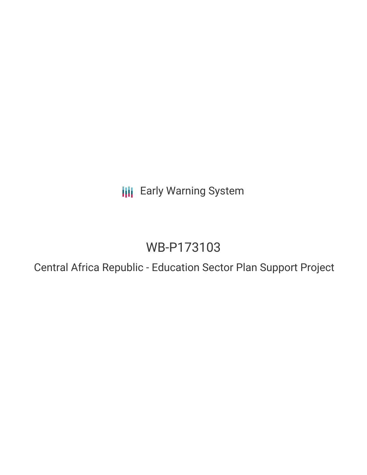**III** Early Warning System

## WB-P173103

Central Africa Republic - Education Sector Plan Support Project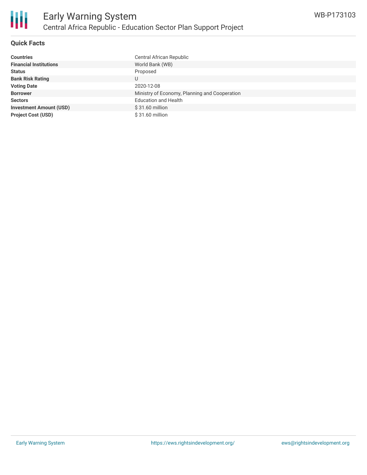

#### **Quick Facts**

| <b>Countries</b>               | Central African Republic                      |
|--------------------------------|-----------------------------------------------|
| <b>Financial Institutions</b>  | World Bank (WB)                               |
| <b>Status</b>                  | Proposed                                      |
| <b>Bank Risk Rating</b>        |                                               |
| <b>Voting Date</b>             | 2020-12-08                                    |
| <b>Borrower</b>                | Ministry of Economy, Planning and Cooperation |
| <b>Sectors</b>                 | <b>Education and Health</b>                   |
| <b>Investment Amount (USD)</b> | $$31.60$ million                              |
| <b>Project Cost (USD)</b>      | $$31.60$ million                              |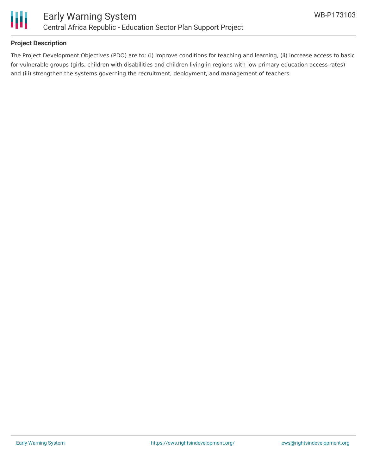

#### **Project Description**

The Project Development Objectives (PDO) are to: (i) improve conditions for teaching and learning, (ii) increase access to basic for vulnerable groups (girls, children with disabilities and children living in regions with low primary education access rates) and (iii) strengthen the systems governing the recruitment, deployment, and management of teachers.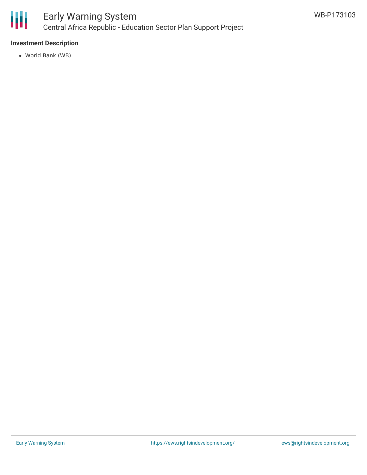

### Early Warning System Central Africa Republic - Education Sector Plan Support Project

#### **Investment Description**

World Bank (WB)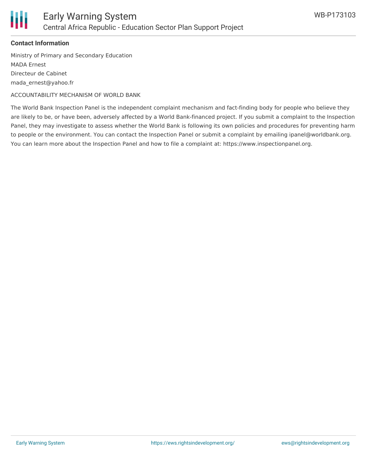

#### **Contact Information**

Ministry of Primary and Secondary Education MADA Ernest Directeur de Cabinet mada\_ernest@yahoo.fr

ACCOUNTABILITY MECHANISM OF WORLD BANK

The World Bank Inspection Panel is the independent complaint mechanism and fact-finding body for people who believe they are likely to be, or have been, adversely affected by a World Bank-financed project. If you submit a complaint to the Inspection Panel, they may investigate to assess whether the World Bank is following its own policies and procedures for preventing harm to people or the environment. You can contact the Inspection Panel or submit a complaint by emailing ipanel@worldbank.org. You can learn more about the Inspection Panel and how to file a complaint at: https://www.inspectionpanel.org.